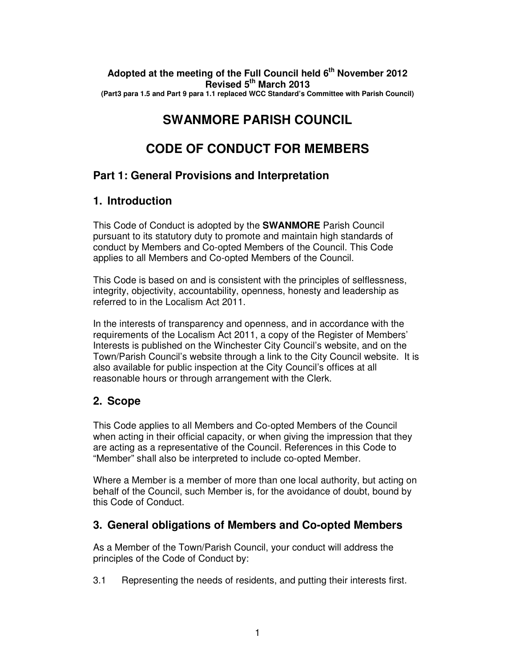#### **Adopted at the meeting of the Full Council held 6th November 2012 Revised 5th March 2013 (Part3 para 1.5 and Part 9 para 1.1 replaced WCC Standard's Committee with Parish Council)**

# **SWANMORE PARISH COUNCIL**

# **CODE OF CONDUCT FOR MEMBERS**

# **Part 1: General Provisions and Interpretation**

# **1. Introduction**

This Code of Conduct is adopted by the **SWANMORE** Parish Council pursuant to its statutory duty to promote and maintain high standards of conduct by Members and Co-opted Members of the Council. This Code applies to all Members and Co-opted Members of the Council.

This Code is based on and is consistent with the principles of selflessness, integrity, objectivity, accountability, openness, honesty and leadership as referred to in the Localism Act 2011.

In the interests of transparency and openness, and in accordance with the requirements of the Localism Act 2011, a copy of the Register of Members' Interests is published on the Winchester City Council's website, and on the Town/Parish Council's website through a link to the City Council website. It is also available for public inspection at the City Council's offices at all reasonable hours or through arrangement with the Clerk.

# **2. Scope**

This Code applies to all Members and Co-opted Members of the Council when acting in their official capacity, or when giving the impression that they are acting as a representative of the Council. References in this Code to "Member" shall also be interpreted to include co-opted Member.

Where a Member is a member of more than one local authority, but acting on behalf of the Council, such Member is, for the avoidance of doubt, bound by this Code of Conduct.

# **3. General obligations of Members and Co-opted Members**

As a Member of the Town/Parish Council, your conduct will address the principles of the Code of Conduct by:

3.1 Representing the needs of residents, and putting their interests first.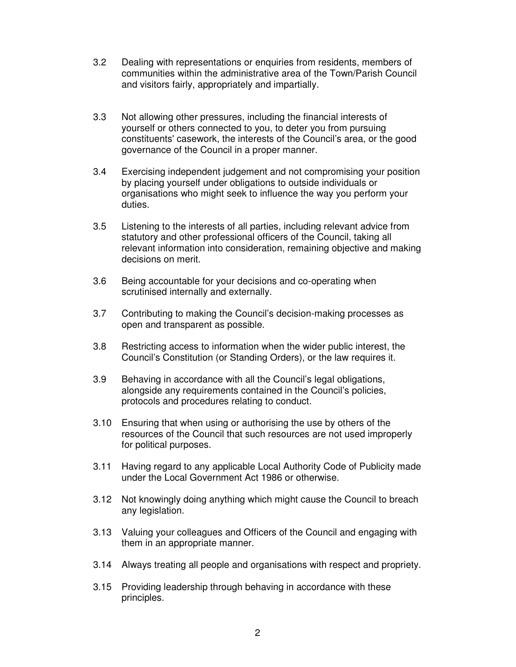- 3.2 Dealing with representations or enquiries from residents, members of communities within the administrative area of the Town/Parish Council and visitors fairly, appropriately and impartially.
- 3.3 Not allowing other pressures, including the financial interests of yourself or others connected to you, to deter you from pursuing constituents' casework, the interests of the Council's area, or the good governance of the Council in a proper manner.
- 3.4 Exercising independent judgement and not compromising your position by placing yourself under obligations to outside individuals or organisations who might seek to influence the way you perform your duties.
- 3.5 Listening to the interests of all parties, including relevant advice from statutory and other professional officers of the Council, taking all relevant information into consideration, remaining objective and making decisions on merit.
- 3.6 Being accountable for your decisions and co-operating when scrutinised internally and externally.
- 3.7 Contributing to making the Council's decision-making processes as open and transparent as possible.
- 3.8 Restricting access to information when the wider public interest, the Council's Constitution (or Standing Orders), or the law requires it.
- 3.9 Behaving in accordance with all the Council's legal obligations, alongside any requirements contained in the Council's policies, protocols and procedures relating to conduct.
- 3.10 Ensuring that when using or authorising the use by others of the resources of the Council that such resources are not used improperly for political purposes.
- 3.11 Having regard to any applicable Local Authority Code of Publicity made under the Local Government Act 1986 or otherwise.
- 3.12 Not knowingly doing anything which might cause the Council to breach any legislation.
- 3.13 Valuing your colleagues and Officers of the Council and engaging with them in an appropriate manner.
- 3.14 Always treating all people and organisations with respect and propriety.
- 3.15 Providing leadership through behaving in accordance with these principles.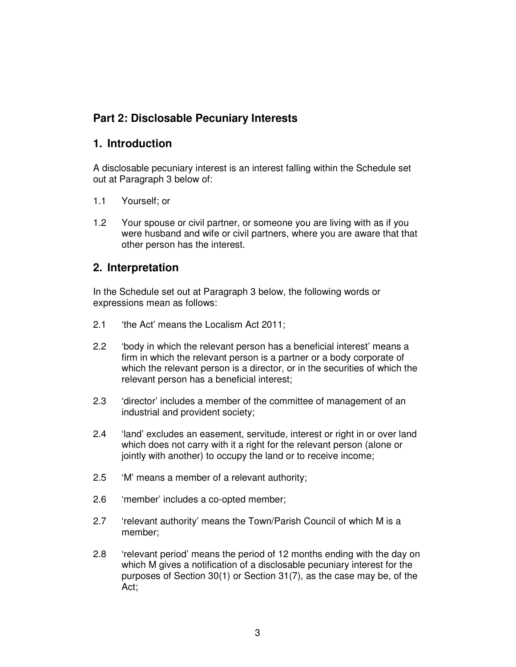## **Part 2: Disclosable Pecuniary Interests**

#### **1. Introduction**

A disclosable pecuniary interest is an interest falling within the Schedule set out at Paragraph 3 below of:

- 1.1 Yourself; or
- 1.2 Your spouse or civil partner, or someone you are living with as if you were husband and wife or civil partners, where you are aware that that other person has the interest.

#### **2. Interpretation**

In the Schedule set out at Paragraph 3 below, the following words or expressions mean as follows:

- 2.1 'the Act' means the Localism Act 2011;
- 2.2 'body in which the relevant person has a beneficial interest' means a firm in which the relevant person is a partner or a body corporate of which the relevant person is a director, or in the securities of which the relevant person has a beneficial interest;
- 2.3 'director' includes a member of the committee of management of an industrial and provident society;
- 2.4 'land' excludes an easement, servitude, interest or right in or over land which does not carry with it a right for the relevant person (alone or jointly with another) to occupy the land or to receive income;
- 2.5 'M' means a member of a relevant authority;
- 2.6 'member' includes a co-opted member;
- 2.7 'relevant authority' means the Town/Parish Council of which M is a member;
- 2.8 'relevant period' means the period of 12 months ending with the day on which M gives a notification of a disclosable pecuniary interest for the purposes of Section 30(1) or Section 31(7), as the case may be, of the Act;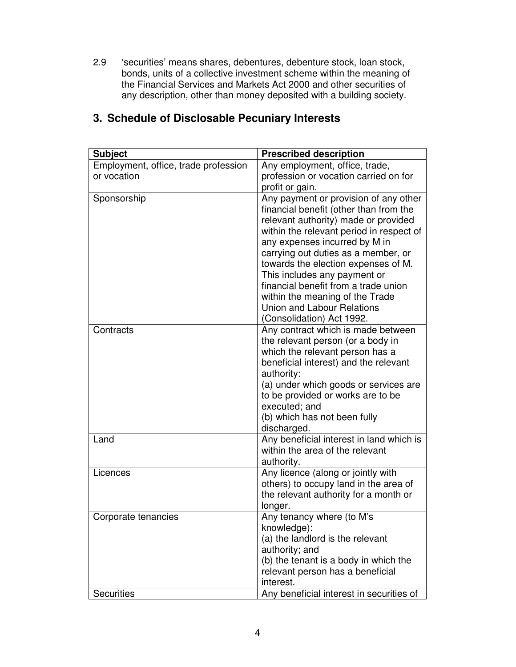2.9 'securities' means shares, debentures, debenture stock, loan stock, bonds, units of a collective investment scheme within the meaning of the Financial Services and Markets Act 2000 and other securities of any description, other than money deposited with a building society.

| Employment, office, trade profession<br>Any employment, office, trade,<br>or vocation<br>profession or vocation carried on for<br>profit or gain.<br>Any payment or provision of any other<br>Sponsorship<br>financial benefit (other than from the<br>relevant authority) made or provided<br>any expenses incurred by M in<br>carrying out duties as a member, or<br>towards the election expenses of M.<br>This includes any payment or<br>financial benefit from a trade union<br>within the meaning of the Trade<br>Union and Labour Relations<br>(Consolidation) Act 1992.<br>Contracts<br>Any contract which is made between<br>the relevant person (or a body in<br>which the relevant person has a<br>beneficial interest) and the relevant<br>authority:<br>(a) under which goods or services are<br>to be provided or works are to be<br>executed; and<br>(b) which has not been fully<br>discharged.<br>Any beneficial interest in land which is<br>Land<br>within the area of the relevant<br>authority.<br>Any licence (along or jointly with<br>Licences<br>others) to occupy land in the area of<br>the relevant authority for a month or<br>longer.<br>Any tenancy where (to M's<br>Corporate tenancies<br>knowledge):<br>(a) the landlord is the relevant<br>authority; and<br>(b) the tenant is a body in which the<br>relevant person has a beneficial | <b>Subject</b> | <b>Prescribed description</b>            |
|----------------------------------------------------------------------------------------------------------------------------------------------------------------------------------------------------------------------------------------------------------------------------------------------------------------------------------------------------------------------------------------------------------------------------------------------------------------------------------------------------------------------------------------------------------------------------------------------------------------------------------------------------------------------------------------------------------------------------------------------------------------------------------------------------------------------------------------------------------------------------------------------------------------------------------------------------------------------------------------------------------------------------------------------------------------------------------------------------------------------------------------------------------------------------------------------------------------------------------------------------------------------------------------------------------------------------------------------------------------------------|----------------|------------------------------------------|
|                                                                                                                                                                                                                                                                                                                                                                                                                                                                                                                                                                                                                                                                                                                                                                                                                                                                                                                                                                                                                                                                                                                                                                                                                                                                                                                                                                            |                |                                          |
|                                                                                                                                                                                                                                                                                                                                                                                                                                                                                                                                                                                                                                                                                                                                                                                                                                                                                                                                                                                                                                                                                                                                                                                                                                                                                                                                                                            |                | within the relevant period in respect of |
|                                                                                                                                                                                                                                                                                                                                                                                                                                                                                                                                                                                                                                                                                                                                                                                                                                                                                                                                                                                                                                                                                                                                                                                                                                                                                                                                                                            |                |                                          |
|                                                                                                                                                                                                                                                                                                                                                                                                                                                                                                                                                                                                                                                                                                                                                                                                                                                                                                                                                                                                                                                                                                                                                                                                                                                                                                                                                                            |                |                                          |
|                                                                                                                                                                                                                                                                                                                                                                                                                                                                                                                                                                                                                                                                                                                                                                                                                                                                                                                                                                                                                                                                                                                                                                                                                                                                                                                                                                            |                |                                          |
| interest.<br>Any beneficial interest in securities of<br><b>Securities</b>                                                                                                                                                                                                                                                                                                                                                                                                                                                                                                                                                                                                                                                                                                                                                                                                                                                                                                                                                                                                                                                                                                                                                                                                                                                                                                 |                |                                          |

# **3. Schedule of Disclosable Pecuniary Interests**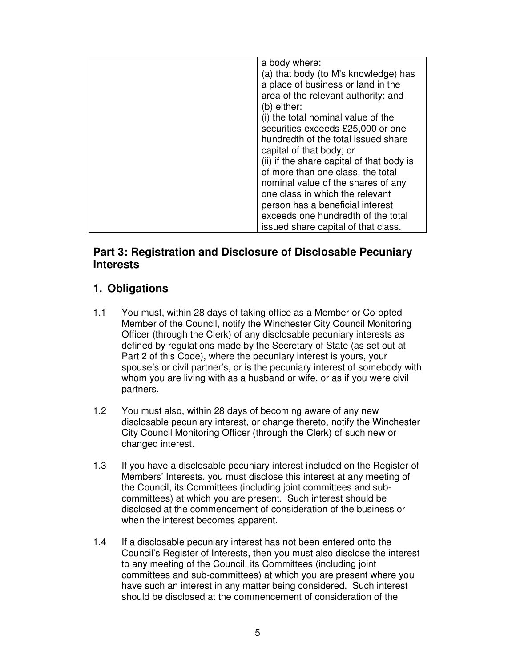| a body where:                             |
|-------------------------------------------|
| (a) that body (to M's knowledge) has      |
| a place of business or land in the        |
| area of the relevant authority; and       |
| (b) either:                               |
| (i) the total nominal value of the        |
| securities exceeds £25,000 or one         |
| hundredth of the total issued share       |
| capital of that body; or                  |
| (ii) if the share capital of that body is |
| of more than one class, the total         |
| nominal value of the shares of any        |
| one class in which the relevant           |
| person has a beneficial interest          |
| exceeds one hundredth of the total        |
| issued share capital of that class.       |
|                                           |

### **Part 3: Registration and Disclosure of Disclosable Pecuniary Interests**

# **1. Obligations**

- 1.1 You must, within 28 days of taking office as a Member or Co-opted Member of the Council, notify the Winchester City Council Monitoring Officer (through the Clerk) of any disclosable pecuniary interests as defined by regulations made by the Secretary of State (as set out at Part 2 of this Code), where the pecuniary interest is yours, your spouse's or civil partner's, or is the pecuniary interest of somebody with whom you are living with as a husband or wife, or as if you were civil partners.
- 1.2 You must also, within 28 days of becoming aware of any new disclosable pecuniary interest, or change thereto, notify the Winchester City Council Monitoring Officer (through the Clerk) of such new or changed interest.
- 1.3 If you have a disclosable pecuniary interest included on the Register of Members' Interests, you must disclose this interest at any meeting of the Council, its Committees (including joint committees and subcommittees) at which you are present. Such interest should be disclosed at the commencement of consideration of the business or when the interest becomes apparent.
- 1.4 If a disclosable pecuniary interest has not been entered onto the Council's Register of Interests, then you must also disclose the interest to any meeting of the Council, its Committees (including joint committees and sub-committees) at which you are present where you have such an interest in any matter being considered. Such interest should be disclosed at the commencement of consideration of the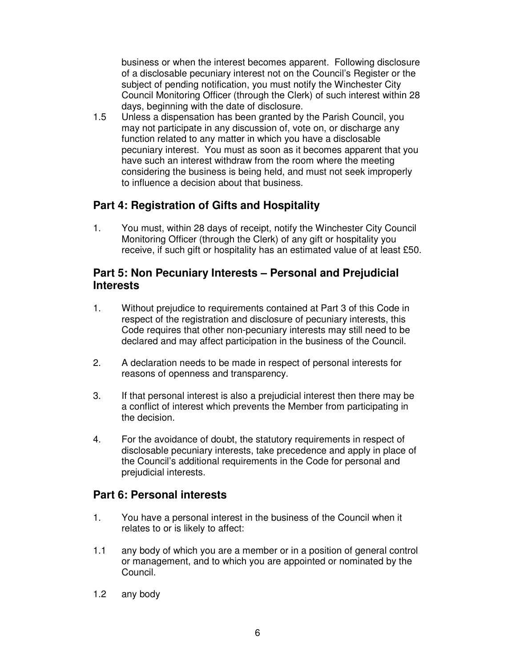business or when the interest becomes apparent. Following disclosure of a disclosable pecuniary interest not on the Council's Register or the subject of pending notification, you must notify the Winchester City Council Monitoring Officer (through the Clerk) of such interest within 28 days, beginning with the date of disclosure.

1.5 Unless a dispensation has been granted by the Parish Council, you may not participate in any discussion of, vote on, or discharge any function related to any matter in which you have a disclosable pecuniary interest. You must as soon as it becomes apparent that you have such an interest withdraw from the room where the meeting considering the business is being held, and must not seek improperly to influence a decision about that business.

### **Part 4: Registration of Gifts and Hospitality**

1. You must, within 28 days of receipt, notify the Winchester City Council Monitoring Officer (through the Clerk) of any gift or hospitality you receive, if such gift or hospitality has an estimated value of at least £50.

#### **Part 5: Non Pecuniary Interests – Personal and Prejudicial Interests**

- 1. Without prejudice to requirements contained at Part 3 of this Code in respect of the registration and disclosure of pecuniary interests, this Code requires that other non-pecuniary interests may still need to be declared and may affect participation in the business of the Council.
- 2. A declaration needs to be made in respect of personal interests for reasons of openness and transparency.
- 3. If that personal interest is also a prejudicial interest then there may be a conflict of interest which prevents the Member from participating in the decision.
- 4. For the avoidance of doubt, the statutory requirements in respect of disclosable pecuniary interests, take precedence and apply in place of the Council's additional requirements in the Code for personal and prejudicial interests.

#### **Part 6: Personal interests**

- 1. You have a personal interest in the business of the Council when it relates to or is likely to affect:
- 1.1 any body of which you are a member or in a position of general control or management, and to which you are appointed or nominated by the Council.
- 1.2 any body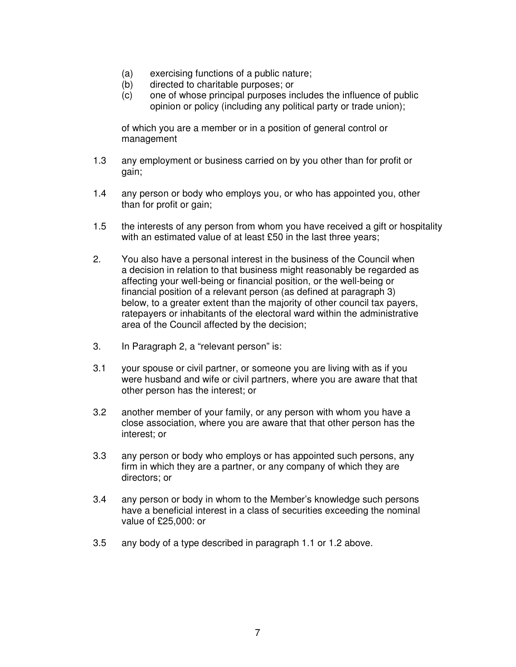- (a) exercising functions of a public nature;
- (b) directed to charitable purposes; or
- (c) one of whose principal purposes includes the influence of public opinion or policy (including any political party or trade union);

 of which you are a member or in a position of general control or management

- 1.3 any employment or business carried on by you other than for profit or gain;
- 1.4 any person or body who employs you, or who has appointed you, other than for profit or gain;
- 1.5 the interests of any person from whom you have received a gift or hospitality with an estimated value of at least £50 in the last three years;
- 2. You also have a personal interest in the business of the Council when a decision in relation to that business might reasonably be regarded as affecting your well-being or financial position, or the well-being or financial position of a relevant person (as defined at paragraph 3) below, to a greater extent than the majority of other council tax payers, ratepayers or inhabitants of the electoral ward within the administrative area of the Council affected by the decision;
- 3. In Paragraph 2, a "relevant person" is:
- 3.1 your spouse or civil partner, or someone you are living with as if you were husband and wife or civil partners, where you are aware that that other person has the interest; or
- 3.2 another member of your family, or any person with whom you have a close association, where you are aware that that other person has the interest; or
- 3.3 any person or body who employs or has appointed such persons, any firm in which they are a partner, or any company of which they are directors; or
- 3.4 any person or body in whom to the Member's knowledge such persons have a beneficial interest in a class of securities exceeding the nominal value of £25,000: or
- 3.5 any body of a type described in paragraph 1.1 or 1.2 above.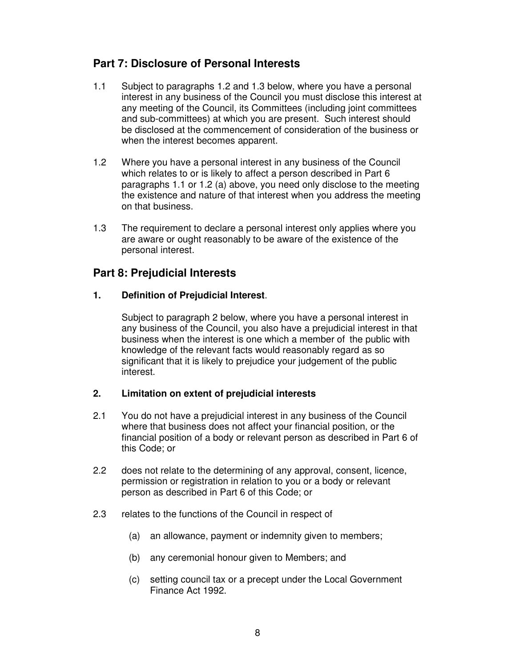### **Part 7: Disclosure of Personal Interests**

- 1.1 Subject to paragraphs 1.2 and 1.3 below, where you have a personal interest in any business of the Council you must disclose this interest at any meeting of the Council, its Committees (including joint committees and sub-committees) at which you are present. Such interest should be disclosed at the commencement of consideration of the business or when the interest becomes apparent.
- 1.2 Where you have a personal interest in any business of the Council which relates to or is likely to affect a person described in Part 6 paragraphs 1.1 or 1.2 (a) above, you need only disclose to the meeting the existence and nature of that interest when you address the meeting on that business.
- 1.3 The requirement to declare a personal interest only applies where you are aware or ought reasonably to be aware of the existence of the personal interest.

### **Part 8: Prejudicial Interests**

#### **1. Definition of Prejudicial Interest**.

 Subject to paragraph 2 below, where you have a personal interest in any business of the Council, you also have a prejudicial interest in that business when the interest is one which a member of the public with knowledge of the relevant facts would reasonably regard as so significant that it is likely to prejudice your judgement of the public interest.

#### **2. Limitation on extent of prejudicial interests**

- 2.1 You do not have a prejudicial interest in any business of the Council where that business does not affect your financial position, or the financial position of a body or relevant person as described in Part 6 of this Code; or
- 2.2 does not relate to the determining of any approval, consent, licence, permission or registration in relation to you or a body or relevant person as described in Part 6 of this Code; or
- 2.3 relates to the functions of the Council in respect of
	- (a) an allowance, payment or indemnity given to members;
	- (b) any ceremonial honour given to Members; and
	- (c) setting council tax or a precept under the Local Government Finance Act 1992.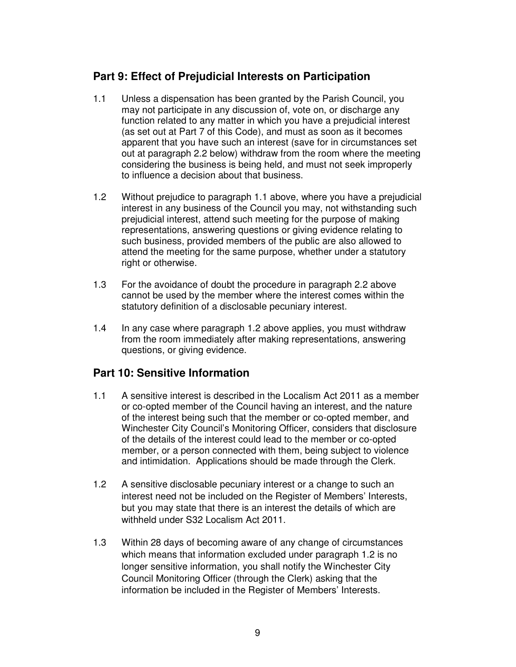### **Part 9: Effect of Prejudicial Interests on Participation**

- 1.1 Unless a dispensation has been granted by the Parish Council, you may not participate in any discussion of, vote on, or discharge any function related to any matter in which you have a prejudicial interest (as set out at Part 7 of this Code), and must as soon as it becomes apparent that you have such an interest (save for in circumstances set out at paragraph 2.2 below) withdraw from the room where the meeting considering the business is being held, and must not seek improperly to influence a decision about that business.
- 1.2 Without prejudice to paragraph 1.1 above, where you have a prejudicial interest in any business of the Council you may, not withstanding such prejudicial interest, attend such meeting for the purpose of making representations, answering questions or giving evidence relating to such business, provided members of the public are also allowed to attend the meeting for the same purpose, whether under a statutory right or otherwise.
- 1.3 For the avoidance of doubt the procedure in paragraph 2.2 above cannot be used by the member where the interest comes within the statutory definition of a disclosable pecuniary interest.
- 1.4 In any case where paragraph 1.2 above applies, you must withdraw from the room immediately after making representations, answering questions, or giving evidence.

### **Part 10: Sensitive Information**

- 1.1 A sensitive interest is described in the Localism Act 2011 as a member or co-opted member of the Council having an interest, and the nature of the interest being such that the member or co-opted member, and Winchester City Council's Monitoring Officer, considers that disclosure of the details of the interest could lead to the member or co-opted member, or a person connected with them, being subject to violence and intimidation. Applications should be made through the Clerk.
- 1.2 A sensitive disclosable pecuniary interest or a change to such an interest need not be included on the Register of Members' Interests, but you may state that there is an interest the details of which are withheld under S32 Localism Act 2011.
- 1.3 Within 28 days of becoming aware of any change of circumstances which means that information excluded under paragraph 1.2 is no longer sensitive information, you shall notify the Winchester City Council Monitoring Officer (through the Clerk) asking that the information be included in the Register of Members' Interests.